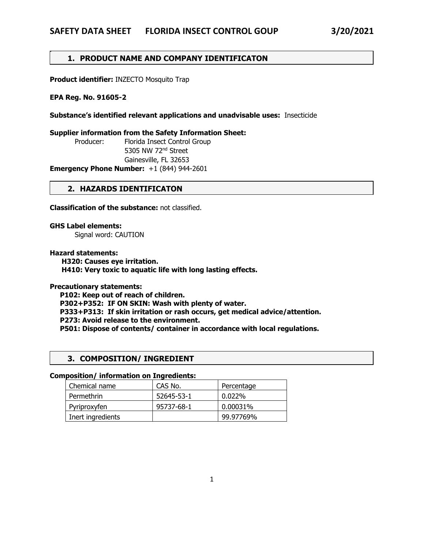# **1. PRODUCT NAME AND COMPANY IDENTIFICATON**

**Product identifier:** INZECTO Mosquito Trap

#### **EPA Reg. No. 91605-2**

.

**Substance's identified relevant applications and unadvisable uses:** Insecticide

#### **Supplier information from the Safety Information Sheet:**

 Producer: Florida Insect Control Group 5305 NW 72nd Street Gainesville, FL 32653

**Emergency Phone Number:** +1 (844) 944-2601

## **2. HAZARDS IDENTIFICATON**

**Classification of the substance:** not classified.

**GHS Label elements:**

Signal word: CAUTION

#### **Hazard statements:**

 **H320: Causes eye irritation. H410: Very toxic to aquatic life with long lasting effects.**

#### **Precautionary statements:**

 **P102: Keep out of reach of children. P302+P352: IF ON SKIN: Wash with plenty of water. P333+P313: If skin irritation or rash occurs, get medical advice/attention. P273: Avoid release to the environment. P501: Dispose of contents/ container in accordance with local regulations.**

# **3. COMPOSITION/ INGREDIENT**

#### **Composition/ information on Ingredients:**

| Chemical name     | CAS No.    | Percentage |
|-------------------|------------|------------|
| Permethrin        | 52645-53-1 | 0.022%     |
| Pyriproxyfen      | 95737-68-1 | 0.00031%   |
| Inert ingredients |            | 99.97769%  |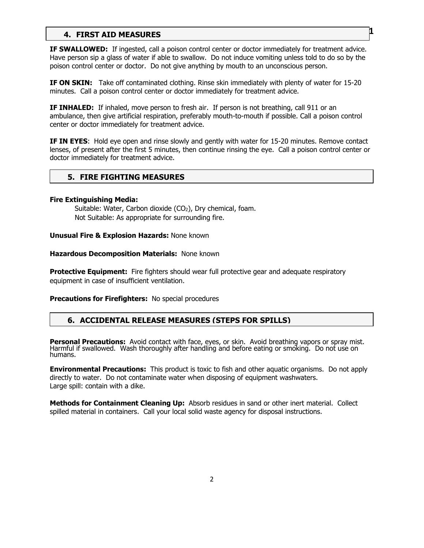# **EXAMPLE INSTAID MEASURES**

**IF SWALLOWED:** If ingested, call a poison control center or doctor immediately for treatment advice. Have person sip a glass of water if able to swallow. Do not induce vomiting unless told to do so by the poison control center or doctor. Do not give anything by mouth to an unconscious person.

**IF ON SKIN:** Take off contaminated clothing. Rinse skin immediately with plenty of water for 15-20 minutes. Call a poison control center or doctor immediately for treatment advice.

**IF INHALED:** If inhaled, move person to fresh air. If person is not breathing, call 911 or an ambulance, then give artificial respiration, preferably mouth-to-mouth if possible. Call a poison control center or doctor immediately for treatment advice.

**IF IN EYES**: Hold eye open and rinse slowly and gently with water for 15-20 minutes. Remove contact lenses, of present after the first 5 minutes, then continue rinsing the eye. Call a poison control center or doctor immediately for treatment advice.

# **5. FIRE FIGHTING MEASURES**

#### **Fire Extinguishing Media:**

Suitable: Water, Carbon dioxide (CO<sub>2</sub>), Dry chemical, foam. Not Suitable: As appropriate for surrounding fire.

**Unusual Fire & Explosion Hazards:** None known

**Hazardous Decomposition Materials:** None known

**Protective Equipment:** Fire fighters should wear full protective gear and adequate respiratory equipment in case of insufficient ventilation.

**Precautions for Firefighters:** No special procedures

# **6. ACCIDENTAL RELEASE MEASURES (STEPS FOR SPILLS)**

**Personal Precautions:** Avoid contact with face, eyes, or skin. Avoid breathing vapors or spray mist. Harmful if swallowed. Wash thoroughly after handling and before eating or smoking. Do not use on humans.

**Environmental Precautions:** This product is toxic to fish and other aquatic organisms. Do not apply directly to water. Do not contaminate water when disposing of equipment washwaters. Large spill: contain with a dike.

**Methods for Containment Cleaning Up:** Absorb residues in sand or other inert material. Collect spilled material in containers. Call your local solid waste agency for disposal instructions.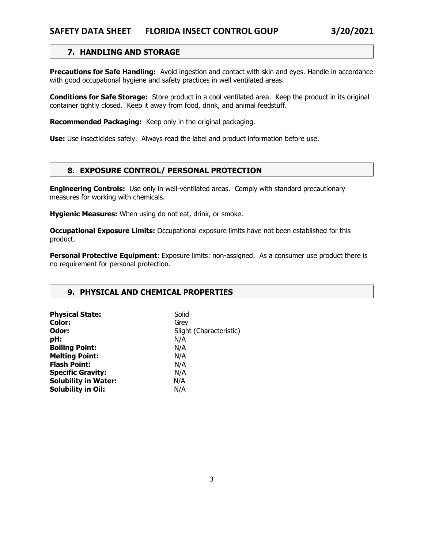# **7. HANDLING AND STORAGE**

**Precautions for Safe Handling:** Avoid ingestion and contact with skin and eyes. Handle in accordance with good occupational hygiene and safety practices in well ventilated areas.

**Conditions for Safe Storage:** Store product in a cool ventilated area. Keep the product in its original container tightly closed. Keep it away from food, drink, and animal feedstuff.

**Recommended Packaging:** Keep only in the original packaging.

**Use:** Use insecticides safely. Always read the label and product information before use.

## **8. EXPOSURE CONTROL/ PERSONAL PROTECTION**

**Engineering Controls:** Use only in well-ventilated areas. Comply with standard precautionary measures for working with chemicals.

**Hygienic Measures:** When using do not eat, drink, or smoke.

**Occupational Exposure Limits:** Occupational exposure limits have not been established for this product.

**Personal Protective Equipment:** Exposure limits: non-assigned. As a consumer use product there is no requirement for personal protection.

# **9. PHYSICAL AND CHEMICAL PROPERTIES**

Ļ

| Solid                   |
|-------------------------|
| Grey                    |
| Slight (Characteristic) |
| N/A                     |
| N/A                     |
| N/A                     |
| N/A                     |
| N/A                     |
| N/A                     |
| N/A                     |
|                         |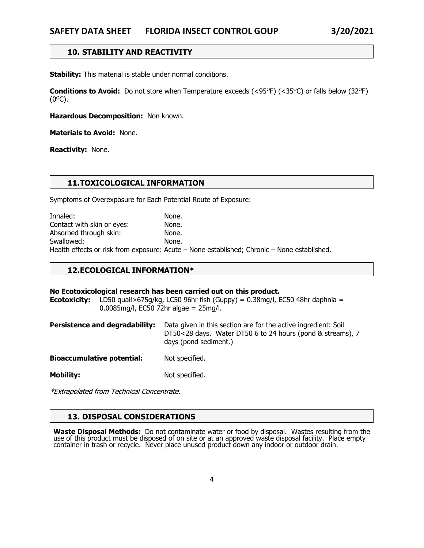# **10. STABILITY AND REACTIVITY**

**Stability:** This material is stable under normal conditions.

**Conditions to Avoid:** Do not store when Temperature exceeds (<95<sup>o</sup>F) (<35<sup>o</sup>C) or falls below (32<sup>o</sup>F)  $(0^{\circ}C)$ .

**Hazardous Decomposition:** Non known.

**Materials to Avoid:** None.

**Reactivity:** None.

## **11.TOXICOLOGICAL INFORMATION**

Symptoms of Overexposure for Each Potential Route of Exposure:

Inhaled: None. Contact with skin or eyes: None. Absorbed through skin: None. Swallowed: None. Health effects or risk from exposure: Acute – None established; Chronic – None established.

#### **12.ECOLOGICAL INFORMATION\***

#### **No Ecotoxicological research has been carried out on this product.**

**Ecotoxicity:** LD50 quail>675g/kg, LC50 96hr fish (Guppy) = 0.38mg/l, EC50 48hr daphnia = 0.0085mg/l, EC50 72hr algae = 25mg/l.

| Persistence and degradability: | Data given in this section are for the active ingredient: Soil |
|--------------------------------|----------------------------------------------------------------|
|                                | DT50<28 days. Water DT50 6 to 24 hours (pond & streams), $7$   |
|                                | days (pond sediment.)                                          |

**Bioaccumulative potential:** Not specified.

**Mobility:** Not specified.

\*Extrapolated from Technical Concentrate.

### **13. DISPOSAL CONSIDERATIONS**

**Waste Disposal Methods:** Do not contaminate water or food by disposal. Wastes resulting from the<br>use of this product must be disposed of on site or at an approved waste disposal facility. Place empty container in trash or recycle. Never place unused product down any indoor or outdoor drain.